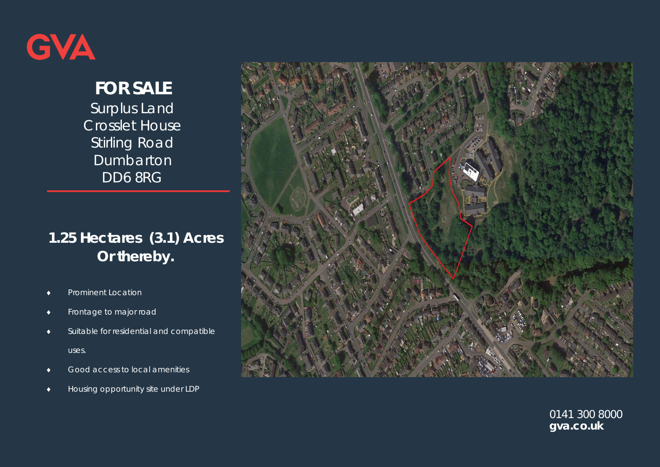

# **FOR SALE**

Surplus Land Crosslet House **Stirling Road** Dumbarton DD6 8RG

# **1.25 Hectares (3.1) Acres Or thereby.**

- $\blacklozenge$ **Prominent Location**
- $\bullet$ Frontage to major road
- $\blacklozenge$  Suitable for residential and compatible uses.
- $\bullet$ Good access to local amenities
- $\blacklozenge$ Housing opportunity site under LDP



0141 300 8000 **gva.co.uk**